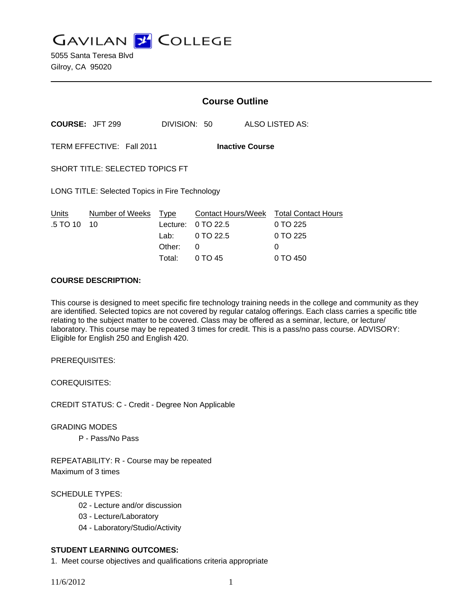**GAVILAN J COLLEGE** 

5055 Santa Teresa Blvd Gilroy, CA 95020

# **Course Outline**

**COURSE:** JFT 299 DIVISION: 50 ALSO LISTED AS:

TERM EFFECTIVE: Fall 2011 **Inactive Course**

SHORT TITLE: SELECTED TOPICS FT

LONG TITLE: Selected Topics in Fire Technology

| Units                    | Number of Weeks Type |          | Contact Hours/Week Total Contact Hours |          |
|--------------------------|----------------------|----------|----------------------------------------|----------|
| $.5 \, \text{T}$ O 10 10 |                      |          | Lecture: $0$ TO 22.5                   | 0 TO 225 |
|                          |                      |          | Lab: $0 \text{ TO } 22.5$              | 0 TO 225 |
|                          |                      | Other: 0 |                                        | $\Omega$ |
|                          |                      |          | Total: $0 \text{ TO } 45$              | 0 TO 450 |

#### **COURSE DESCRIPTION:**

This course is designed to meet specific fire technology training needs in the college and community as they are identified. Selected topics are not covered by regular catalog offerings. Each class carries a specific title relating to the subject matter to be covered. Class may be offered as a seminar, lecture, or lecture/ laboratory. This course may be repeated 3 times for credit. This is a pass/no pass course. ADVISORY: Eligible for English 250 and English 420.

PREREQUISITES:

COREQUISITES:

CREDIT STATUS: C - Credit - Degree Non Applicable

GRADING MODES

P - Pass/No Pass

REPEATABILITY: R - Course may be repeated Maximum of 3 times

## SCHEDULE TYPES:

- 02 Lecture and/or discussion
- 03 Lecture/Laboratory
- 04 Laboratory/Studio/Activity

## **STUDENT LEARNING OUTCOMES:**

1. Meet course objectives and qualifications criteria appropriate

11/6/2012 1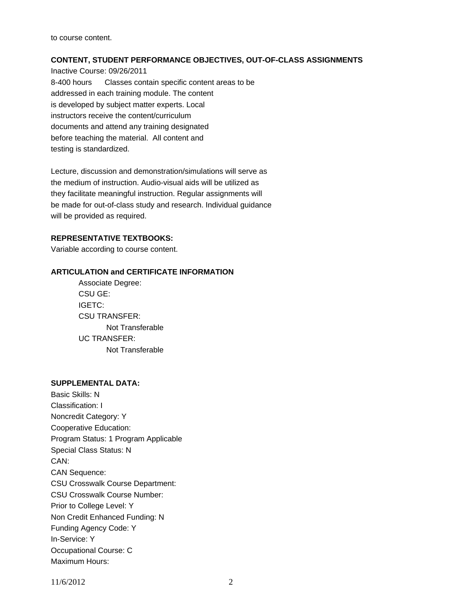to course content.

#### **CONTENT, STUDENT PERFORMANCE OBJECTIVES, OUT-OF-CLASS ASSIGNMENTS**

Inactive Course: 09/26/2011 8-400 hours Classes contain specific content areas to be addressed in each training module. The content is developed by subject matter experts. Local instructors receive the content/curriculum documents and attend any training designated before teaching the material. All content and testing is standardized.

Lecture, discussion and demonstration/simulations will serve as the medium of instruction. Audio-visual aids will be utilized as they facilitate meaningful instruction. Regular assignments will be made for out-of-class study and research. Individual guidance will be provided as required.

## **REPRESENTATIVE TEXTBOOKS:**

Variable according to course content.

#### **ARTICULATION and CERTIFICATE INFORMATION**

 Not Transferable UC TRANSFER: Not Transferable Associate Degree: CSU GE: IGETC: CSU TRANSFER:

## **SUPPLEMENTAL DATA:**

Basic Skills: N Classification: I Noncredit Category: Y Cooperative Education: Program Status: 1 Program Applicable Special Class Status: N CAN: CAN Sequence: CSU Crosswalk Course Department: CSU Crosswalk Course Number: Prior to College Level: Y Non Credit Enhanced Funding: N Funding Agency Code: Y In-Service: Y Occupational Course: C Maximum Hours:

11/6/2012 2